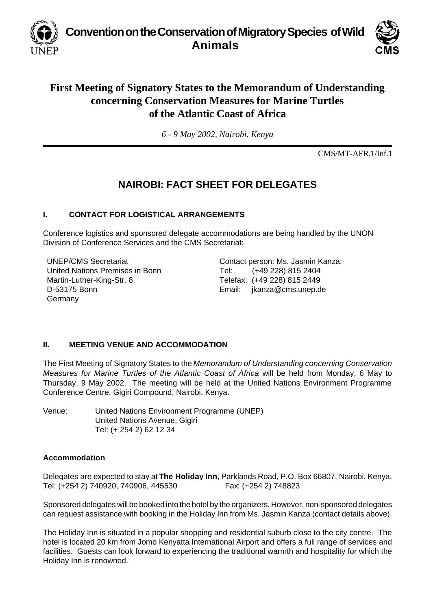**Convention on the Conservation of Migratory Species of Wild Animals**



# **First Meeting of Signatory States to the Memorandum of Understanding concerning Conservation Measures for Marine Turtles of the Atlantic Coast of Africa**

*6 - 9 May 2002, Nairobi, Kenya*

CMS/MT-AFR.1/Inf.1

## **NAIROBI: FACT SHEET FOR DELEGATES**

#### **I. CONTACT FOR LOGISTICAL ARRANGEMENTS**

Conference logistics and sponsored delegate accommodations are being handled by the UNON Division of Conference Services and the CMS Secretariat:

UNEP/CMS Secretariat United Nations Premises in Bonn Martin-Luther-King-Str. 8 D-53175 Bonn Germany

Contact person: Ms. Jasmin Kanza: Tel: (+49 228) 815 2404 Telefax: (+49 228) 815 2449 Email: jkanza@cms.unep.de

### **II. MEETING VENUE AND ACCOMMODATION**

The First Meeting of Signatory States to the *Memorandum of Understanding concerning Conservation Measures for Marine Turtles of the Atlantic Coast of Africa* will be held from Monday, 6 May to Thursday, 9 May 2002. The meeting will be held at the United Nations Environment Programme Conference Centre, Gigiri Compound, Nairobi, Kenya.

Venue: United Nations Environment Programme (UNEP) United Nations Avenue, Gigiri Tel: (+ 254 2) 62 12 34

#### **Accommodation**

Delegates are expected to stay at **The Holiday Inn**, Parklands Road, P.O. Box 66807, Nairobi, Kenya. Tel: (+254 2) 740920, 740906, 445530 Fax: (+254 2) 748823

Sponsored delegates will be booked into the hotel by the organizers. However, non-sponsored delegates can request assistance with booking in the Holiday Inn from Ms. Jasmin Kanza (contact details above).

The Holiday Inn is situated in a popular shopping and residential suburb close to the city centre. The hotel is located 20 km from Jomo Kenyatta International Airport and offers a full range of services and facilities. Guests can look forward to experiencing the traditional warmth and hospitality for which the Holiday Inn is renowned.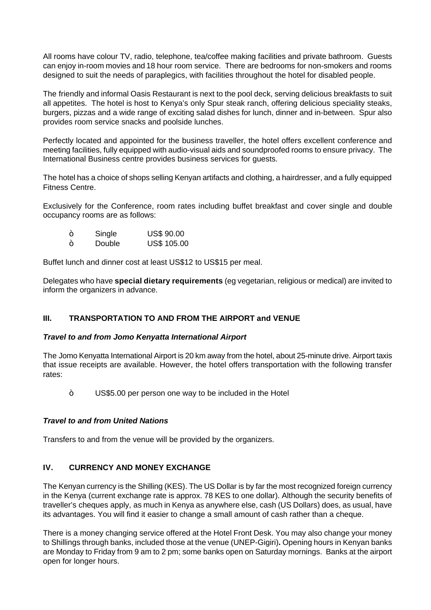All rooms have colour TV, radio, telephone, tea/coffee making facilities and private bathroom. Guests can enjoy in-room movies and 18 hour room service. There are bedrooms for non-smokers and rooms designed to suit the needs of paraplegics, with facilities throughout the hotel for disabled people.

The friendly and informal Oasis Restaurant is next to the pool deck, serving delicious breakfasts to suit all appetites. The hotel is host to Kenya's only Spur steak ranch, offering delicious speciality steaks, burgers, pizzas and a wide range of exciting salad dishes for lunch, dinner and in-between. Spur also provides room service snacks and poolside lunches.

Perfectly located and appointed for the business traveller, the hotel offers excellent conference and meeting facilities, fully equipped with audio-visual aids and soundproofed rooms to ensure privacy. The International Business centre provides business services for guests.

The hotel has a choice of shops selling Kenyan artifacts and clothing, a hairdresser, and a fully equipped Fitness Centre.

Exclusively for the Conference, room rates including buffet breakfast and cover single and double occupancy rooms are as follows:

| $\tilde{\phantom{a}}$ | Single | <b>US\$ 90.00</b> |
|-----------------------|--------|-------------------|
| $\tilde{\phantom{a}}$ | Double | US\$ 105.00       |

Buffet lunch and dinner cost at least US\$12 to US\$15 per meal.

Delegates who have **special dietary requirements** (eg vegetarian, religious or medical) are invited to inform the organizers in advance.

#### **III. TRANSPORTATION TO AND FROM THE AIRPORT and VENUE**

#### *Travel to and from Jomo Kenyatta International Airport*

The Jomo Kenyatta International Airport is 20 km away from the hotel, about 25-minute drive. Airport taxis that issue receipts are available. However, the hotel offers transportation with the following transfer rates:

US\$5.00 per person one way to be included in the Hotel

#### *Travel to and from United Nations*

Transfers to and from the venue will be provided by the organizers.

#### **IV. CURRENCY AND MONEY EXCHANGE**

The Kenyan currency is the Shilling (KES). The US Dollar is by far the most recognized foreign currency in the Kenya (current exchange rate is approx. 78 KES to one dollar). Although the security benefits of traveller's cheques apply, as much in Kenya as anywhere else, cash (US Dollars) does, as usual, have its advantages. You will find it easier to change a small amount of cash rather than a cheque.

There is a money changing service offered at the Hotel Front Desk. You may also change your money to Shillings through banks, included those at the venue (UNEP-Gigiri)**.** Opening hours in Kenyan banks are Monday to Friday from 9 am to 2 pm; some banks open on Saturday mornings. Banks at the airport open for longer hours.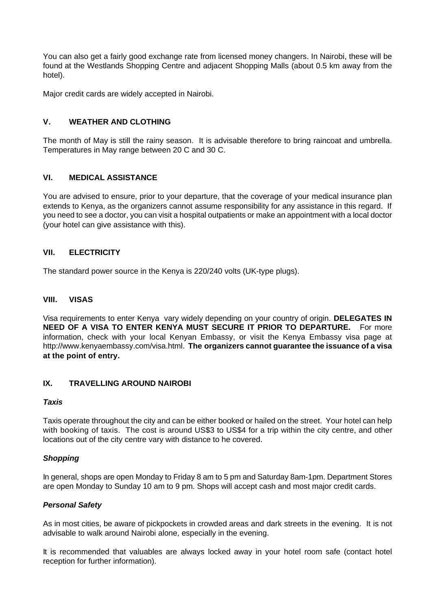You can also get a fairly good exchange rate from licensed money changers. In Nairobi, these will be found at the Westlands Shopping Centre and adjacent Shopping Malls (about 0.5 km away from the hotel).

Major credit cards are widely accepted in Nairobi.

### **V. WEATHER AND CLOTHING**

The month of May is still the rainy season. It is advisable therefore to bring raincoat and umbrella. Temperatures in May range between 20 C and 30 C.

#### **VI. MEDICAL ASSISTANCE**

You are advised to ensure, prior to your departure, that the coverage of your medical insurance plan extends to Kenya, as the organizers cannot assume responsibility for any assistance in this regard. If you need to see a doctor, you can visit a hospital outpatients or make an appointment with a local doctor (your hotel can give assistance with this).

#### **VII. ELECTRICITY**

The standard power source in the Kenya is 220/240 volts (UK-type plugs).

#### **VIII. VISAS**

Visa requirements to enter Kenya vary widely depending on your country of origin. **DELEGATES IN NEED OF A VISA TO ENTER KENYA MUST SECURE IT PRIOR TO DEPARTURE.** For more information, check with your local Kenyan Embassy, or visit the Kenya Embassy visa page at http://www.kenyaembassy.com/visa.html. **The organizers cannot guarantee the issuance of a visa at the point of entry.**

#### **IX. TRAVELLING AROUND NAIROBI**

#### *Taxis*

Taxis operate throughout the city and can be either booked or hailed on the street. Your hotel can help with booking of taxis.The cost is around US\$3 to US\$4 for a trip within the city centre, and other locations out of the city centre vary with distance to he covered.

#### *Shopping*

In general, shops are open Monday to Friday 8 am to 5 pm and Saturday 8am-1pm. Department Stores are open Monday to Sunday 10 am to 9 pm. Shops will accept cash and most major credit cards.

#### *Personal Safety*

As in most cities, be aware of pickpockets in crowded areas and dark streets in the evening. It is not advisable to walk around Nairobi alone, especially in the evening.

It is recommended that valuables are always locked away in your hotel room safe (contact hotel reception for further information).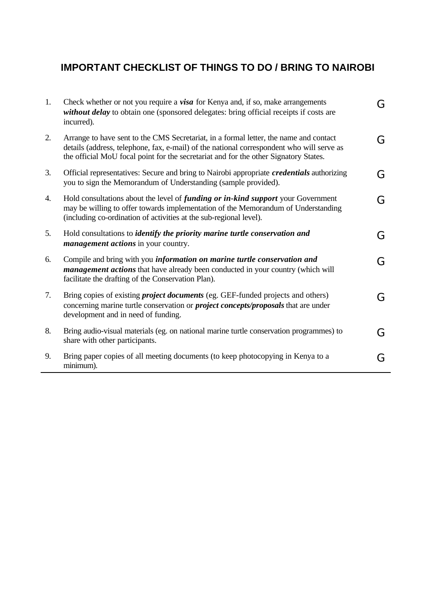# **IMPORTANT CHECKLIST OF THINGS TO DO / BRING TO NAIROBI**

| 1. | Check whether or not you require a visa for Kenya and, if so, make arrangements<br>without delay to obtain one (sponsored delegates: bring official receipts if costs are<br>incurred).                                                                                    | G |
|----|----------------------------------------------------------------------------------------------------------------------------------------------------------------------------------------------------------------------------------------------------------------------------|---|
| 2. | Arrange to have sent to the CMS Secretariat, in a formal letter, the name and contact<br>details (address, telephone, fax, e-mail) of the national correspondent who will serve as<br>the official MoU focal point for the secretariat and for the other Signatory States. | G |
| 3. | Official representatives: Secure and bring to Nairobi appropriate <i>credentials</i> authorizing<br>you to sign the Memorandum of Understanding (sample provided).                                                                                                         | G |
| 4. | Hold consultations about the level of <i>funding or in-kind support</i> your Government<br>may be willing to offer towards implementation of the Memorandum of Understanding<br>(including co-ordination of activities at the sub-regional level).                         | G |
| 5. | Hold consultations to <i>identify the priority marine turtle conservation and</i><br><i>management actions</i> in your country.                                                                                                                                            | G |
| 6. | Compile and bring with you information on marine turtle conservation and<br><i>management actions</i> that have already been conducted in your country (which will<br>facilitate the drafting of the Conservation Plan).                                                   | G |
| 7. | Bring copies of existing <i>project documents</i> (eg. GEF-funded projects and others)<br>concerning marine turtle conservation or <i>project concepts/proposals</i> that are under<br>development and in need of funding.                                                 | G |
| 8. | Bring audio-visual materials (eg. on national marine turtle conservation programmes) to<br>share with other participants.                                                                                                                                                  | G |
| 9. | Bring paper copies of all meeting documents (to keep photocopying in Kenya to a<br>minimum).                                                                                                                                                                               | G |